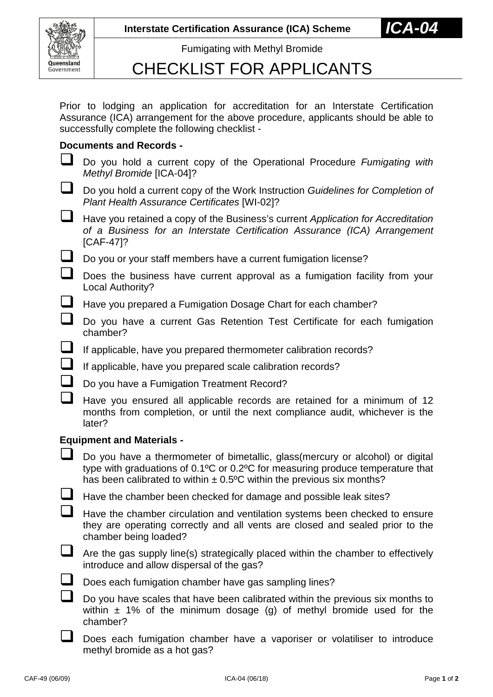

Fumigating with Methyl Bromide

## CHECKLIST FOR APPLICANTS

Prior to lodging an application for accreditation for an Interstate Certification Assurance (ICA) arrangement for the above procedure, applicants should be able to successfully complete the following checklist -

## **Documents and Records -**

- Do you hold a current copy of the Operational Procedure *Fumigating with Methyl Bromide* [ICA-04]?
- Do you hold a current copy of the Work Instruction *Guidelines for Completion of Plant Health Assurance Certificates* [WI-02]?
- Have you retained a copy of the Business's current *Application for Accreditation of a Business for an Interstate Certification Assurance (ICA) Arrangement* [CAF-47]?
- Do you or your staff members have a current fumigation license?
- $\Box$  Does the business have current approval as a fumigation facility from your Local Authority?
- Have you prepared a Fumigation Dosage Chart for each chamber?
- Do you have a current Gas Retention Test Certificate for each fumigation chamber?
- If applicable, have you prepared thermometer calibration records?
- If applicable, have you prepared scale calibration records?
- Do you have a Fumigation Treatment Record?
- $\Box$  Have you ensured all applicable records are retained for a minimum of 12 months from completion, or until the next compliance audit, whichever is the later?

## **Equipment and Materials -**

- $\Box$  Do you have a thermometer of bimetallic, glass(mercury or alcohol) or digital type with graduations of 0.1ºC or 0.2ºC for measuring produce temperature that has been calibrated to within  $\pm$  0.5°C within the previous six months?
- $\Box$  Have the chamber been checked for damage and possible leak sites?

 $\Box$  Have the chamber circulation and ventilation systems been checked to ensure they are operating correctly and all vents are closed and sealed prior to the chamber being loaded?

- $\Box$  Are the gas supply line(s) strategically placed within the chamber to effectively introduce and allow dispersal of the gas?
- 
- Does each fumigation chamber have gas sampling lines?

 Do you have scales that have been calibrated within the previous six months to within  $\pm$  1% of the minimum dosage (g) of methyl bromide used for the chamber?

Does each fumigation chamber have a vaporiser or volatiliser to introduce methyl bromide as a hot gas?